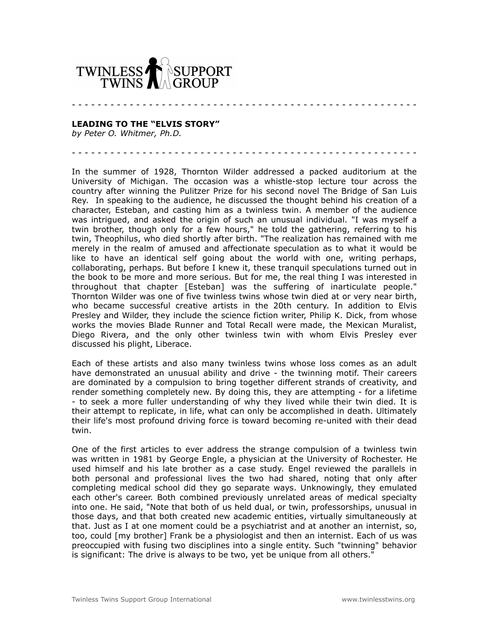

## **LEADING TO THE "ELVIS STORY"**

*by Peter O. Whitmer, Ph.D.*

In the summer of 1928, Thornton Wilder addressed a packed auditorium at the University of Michigan. The occasion was a whistle-stop lecture tour across the country after winning the Pulitzer Prize for his second novel The Bridge of San Luis Rey. In speaking to the audience, he discussed the thought behind his creation of a character, Esteban, and casting him as a twinless twin. A member of the audience was intrigued, and asked the origin of such an unusual individual. "I was myself a twin brother, though only for a few hours," he told the gathering, referring to his twin, Theophilus, who died shortly after birth. "The realization has remained with me merely in the realm of amused and affectionate speculation as to what it would be like to have an identical self going about the world with one, writing perhaps, collaborating, perhaps. But before I knew it, these tranquil speculations turned out in the book to be more and more serious. But for me, the real thing I was interested in throughout that chapter [Esteban] was the suffering of inarticulate people." Thornton Wilder was one of five twinless twins whose twin died at or very near birth, who became successful creative artists in the 20th century. In addition to Elvis Presley and Wilder, they include the science fiction writer, Philip K. Dick, from whose works the movies Blade Runner and Total Recall were made, the Mexican Muralist, Diego Rivera, and the only other twinless twin with whom Elvis Presley ever discussed his plight, Liberace.

- - - - - - - - - - - - - - - - - - - - - - - - - - - - - - - - - - - - - - - - - - - - - - - - - - - - - -

- - - - - - - - - - - - - - - - - - - - - - - - - - - - - - - - - - - - - - - - - - - - - - - - - - - - - -

Each of these artists and also many twinless twins whose loss comes as an adult have demonstrated an unusual ability and drive - the twinning motif. Their careers are dominated by a compulsion to bring together different strands of creativity, and render something completely new. By doing this, they are attempting - for a lifetime - to seek a more fuller understanding of why they lived while their twin died. It is their attempt to replicate, in life, what can only be accomplished in death. Ultimately their life's most profound driving force is toward becoming re-united with their dead twin.

One of the first articles to ever address the strange compulsion of a twinless twin was written in 1981 by George Engle, a physician at the University of Rochester. He used himself and his late brother as a case study. Engel reviewed the parallels in both personal and professional lives the two had shared, noting that only after completing medical school did they go separate ways. Unknowingly, they emulated each other's career. Both combined previously unrelated areas of medical specialty into one. He said, "Note that both of us held dual, or twin, professorships, unusual in those days, and that both created new academic entities, virtually simultaneously at that. Just as I at one moment could be a psychiatrist and at another an internist, so, too, could [my brother] Frank be a physiologist and then an internist. Each of us was preoccupied with fusing two disciplines into a single entity. Such "twinning" behavior is significant: The drive is always to be two, yet be unique from all others."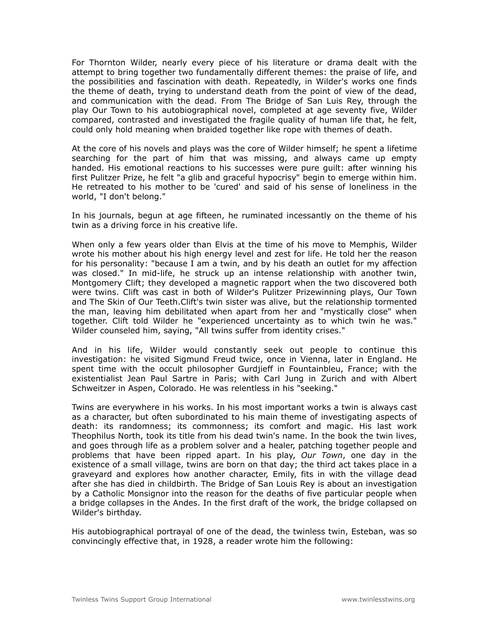For Thornton Wilder, nearly every piece of his literature or drama dealt with the attempt to bring together two fundamentally different themes: the praise of life, and the possibilities and fascination with death. Repeatedly, in Wilder's works one finds the theme of death, trying to understand death from the point of view of the dead, and communication with the dead. From The Bridge of San Luis Rey, through the play Our Town to his autobiographical novel, completed at age seventy five, Wilder compared, contrasted and investigated the fragile quality of human life that, he felt, could only hold meaning when braided together like rope with themes of death.

At the core of his novels and plays was the core of Wilder himself; he spent a lifetime searching for the part of him that was missing, and always came up empty handed. His emotional reactions to his successes were pure guilt: after winning his first Pulitzer Prize, he felt "a glib and graceful hypocrisy" begin to emerge within him. He retreated to his mother to be 'cured' and said of his sense of loneliness in the world, "I don't belong."

In his journals, begun at age fifteen, he ruminated incessantly on the theme of his twin as a driving force in his creative life.

When only a few years older than Elvis at the time of his move to Memphis, Wilder wrote his mother about his high energy level and zest for life. He told her the reason for his personality: "because I am a twin, and by his death an outlet for my affection was closed." In mid-life, he struck up an intense relationship with another twin, Montgomery Clift; they developed a magnetic rapport when the two discovered both were twins. Clift was cast in both of Wilder's Pulitzer Prizewinning plays, Our Town and The Skin of Our Teeth.Clift's twin sister was alive, but the relationship tormented the man, leaving him debilitated when apart from her and "mystically close" when together. Clift told Wilder he "experienced uncertainty as to which twin he was." Wilder counseled him, saying, "All twins suffer from identity crises."

And in his life, Wilder would constantly seek out people to continue this investigation: he visited Sigmund Freud twice, once in Vienna, later in England. He spent time with the occult philosopher Gurdjieff in Fountainbleu, France; with the existentialist Jean Paul Sartre in Paris; with Carl Jung in Zurich and with Albert Schweitzer in Aspen, Colorado. He was relentless in his "seeking."

Twins are everywhere in his works. In his most important works a twin is always cast as a character, but often subordinated to his main theme of investigating aspects of death: its randomness; its commonness; its comfort and magic. His last work Theophilus North, took its title from his dead twin's name. In the book the twin lives, and goes through life as a problem solver and a healer, patching together people and problems that have been ripped apart. In his play, *Our Town*, one day in the existence of a small village, twins are born on that day; the third act takes place in a graveyard and explores how another character, Emily, fits in with the village dead after she has died in childbirth. The Bridge of San Louis Rey is about an investigation by a Catholic Monsignor into the reason for the deaths of five particular people when a bridge collapses in the Andes. In the first draft of the work, the bridge collapsed on Wilder's birthday.

His autobiographical portrayal of one of the dead, the twinless twin, Esteban, was so convincingly effective that, in 1928, a reader wrote him the following: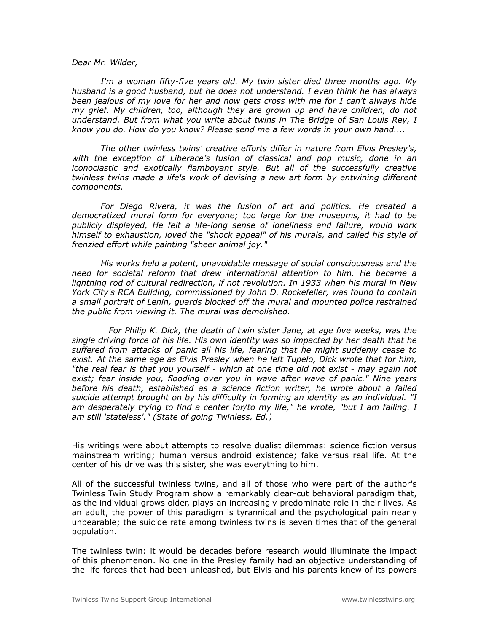## *Dear Mr. Wilder,*

 *I'm a woman fifty-five years old. My twin sister died three months ago. My husband is a good husband, but he does not understand. I even think he has always been jealous of my love for her and now gets cross with me for I can't always hide my grief. My children, too, although they are grown up and have children, do not understand. But from what you write about twins in The Bridge of San Louis Rey, I know you do. How do you know? Please send me a few words in your own hand....*

 *The other twinless twins' creative efforts differ in nature from Elvis Presley's, with the exception of Liberace's fusion of classical and pop music, done in an iconoclastic and exotically flamboyant style. But all of the successfully creative twinless twins made a life's work of devising a new art form by entwining different components.*

 *For Diego Rivera, it was the fusion of art and politics. He created a democratized mural form for everyone; too large for the museums, it had to be publicly displayed, He felt a life-long sense of loneliness and failure, would work himself to exhaustion, loved the "shock appeal" of his murals, and called his style of frenzied effort while painting "sheer animal joy."*

 *His works held a potent, unavoidable message of social consciousness and the need for societal reform that drew international attention to him. He became a lightning rod of cultural redirection, if not revolution. In 1933 when his mural in New York City's RCA Building, commissioned by John D. Rockefeller, was found to contain a small portrait of Lenin, guards blocked off the mural and mounted police restrained the public from viewing it. The mural was demolished.*

 *For Philip K. Dick, the death of twin sister Jane, at age five weeks, was the single driving force of his life. His own identity was so impacted by her death that he suffered from attacks of panic all his life, fearing that he might suddenly cease to exist. At the same age as Elvis Presley when he left Tupelo, Dick wrote that for him, "the real fear is that you yourself - which at one time did not exist - may again not exist; fear inside you, flooding over you in wave after wave of panic." Nine years before his death, established as a science fiction writer, he wrote about a failed suicide attempt brought on by his difficulty in forming an identity as an individual. "I am desperately trying to find a center for/to my life," he wrote, "but I am failing. I am still 'stateless'." (State of going Twinless, Ed.)*

His writings were about attempts to resolve dualist dilemmas: science fiction versus mainstream writing; human versus android existence; fake versus real life. At the center of his drive was this sister, she was everything to him.

All of the successful twinless twins, and all of those who were part of the author's Twinless Twin Study Program show a remarkably clear-cut behavioral paradigm that, as the individual grows older, plays an increasingly predominate role in their lives. As an adult, the power of this paradigm is tyrannical and the psychological pain nearly unbearable; the suicide rate among twinless twins is seven times that of the general population.

The twinless twin: it would be decades before research would illuminate the impact of this phenomenon. No one in the Presley family had an objective understanding of the life forces that had been unleashed, but Elvis and his parents knew of its powers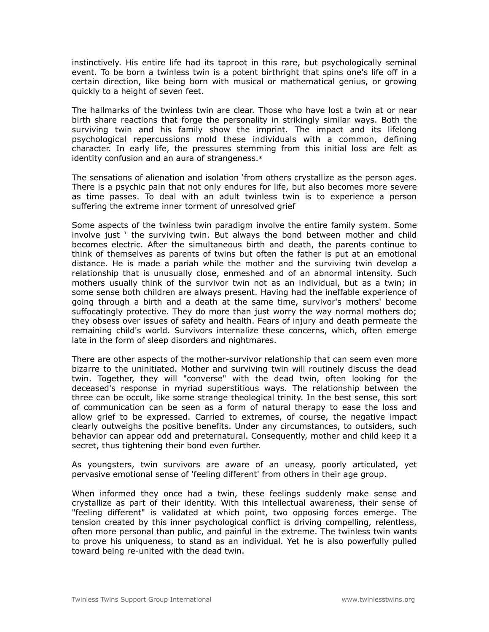instinctively. His entire life had its taproot in this rare, but psychologically seminal event. To be born a twinless twin is a potent birthright that spins one's life off in a certain direction, like being born with musical or mathematical genius, or growing quickly to a height of seven feet.

The hallmarks of the twinless twin are clear. Those who have lost a twin at or near birth share reactions that forge the personality in strikingly similar ways. Both the surviving twin and his family show the imprint. The impact and its lifelong psychological repercussions mold these individuals with a common, defining character. In early life, the pressures stemming from this initial loss are felt as identity confusion and an aura of strangeness.\*

The sensations of alienation and isolation 'from others crystallize as the person ages. There is a psychic pain that not only endures for life, but also becomes more severe as time passes. To deal with an adult twinless twin is to experience a person suffering the extreme inner torment of unresolved grief

Some aspects of the twinless twin paradigm involve the entire family system. Some involve just ' the surviving twin. But always the bond between mother and child becomes electric. After the simultaneous birth and death, the parents continue to think of themselves as parents of twins but often the father is put at an emotional distance. He is made a pariah while the mother and the surviving twin develop a relationship that is unusually close, enmeshed and of an abnormal intensity. Such mothers usually think of the survivor twin not as an individual, but as a twin; in some sense both children are always present. Having had the ineffable experience of going through a birth and a death at the same time, survivor's mothers' become suffocatingly protective. They do more than just worry the way normal mothers do; they obsess over issues of safety and health. Fears of injury and death permeate the remaining child's world. Survivors internalize these concerns, which, often emerge late in the form of sleep disorders and nightmares.

There are other aspects of the mother-survivor relationship that can seem even more bizarre to the uninitiated. Mother and surviving twin will routinely discuss the dead twin. Together, they will "converse" with the dead twin, often looking for the deceased's response in myriad superstitious ways. The relationship between the three can be occult, like some strange theological trinity. In the best sense, this sort of communication can be seen as a form of natural therapy to ease the loss and allow grief to be expressed. Carried to extremes, of course, the negative impact clearly outweighs the positive benefits. Under any circumstances, to outsiders, such behavior can appear odd and preternatural. Consequently, mother and child keep it a secret, thus tightening their bond even further.

As youngsters, twin survivors are aware of an uneasy, poorly articulated, yet pervasive emotional sense of 'feeling different' from others in their age group.

When informed they once had a twin, these feelings suddenly make sense and crystallize as part of their identity. With this intellectual awareness, their sense of "feeling different" is validated at which point, two opposing forces emerge. The tension created by this inner psychological conflict is driving compelling, relentless, often more personal than public, and painful in the extreme. The twinless twin wants to prove his uniqueness, to stand as an individual. Yet he is also powerfully pulled toward being re-united with the dead twin.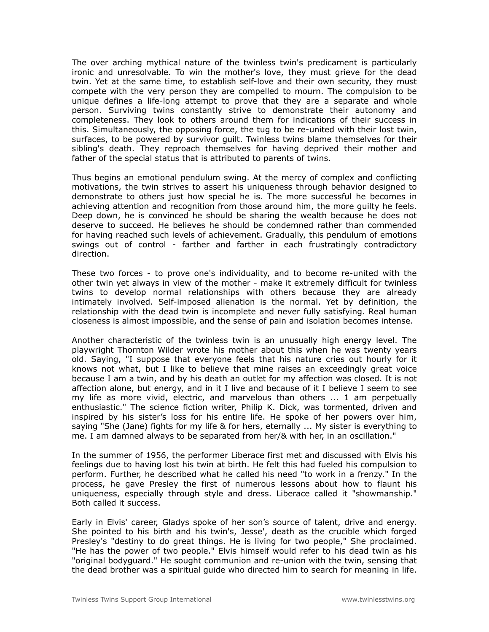The over arching mythical nature of the twinless twin's predicament is particularly ironic and unresolvable. To win the mother's love, they must grieve for the dead twin. Yet at the same time, to establish self-love and their own security, they must compete with the very person they are compelled to mourn. The compulsion to be unique defines a life-long attempt to prove that they are a separate and whole person. Surviving twins constantly strive to demonstrate their autonomy and completeness. They look to others around them for indications of their success in this. Simultaneously, the opposing force, the tug to be re-united with their lost twin, surfaces, to be powered by survivor guilt. Twinless twins blame themselves for their sibling's death. They reproach themselves for having deprived their mother and father of the special status that is attributed to parents of twins.

Thus begins an emotional pendulum swing. At the mercy of complex and conflicting motivations, the twin strives to assert his uniqueness through behavior designed to demonstrate to others just how special he is. The more successful he becomes in achieving attention and recognition from those around him, the more guilty he feels. Deep down, he is convinced he should be sharing the wealth because he does not deserve to succeed. He believes he should be condemned rather than commended for having reached such levels of achievement. Gradually, this pendulum of emotions swings out of control - farther and farther in each frustratingly contradictory direction.

These two forces - to prove one's individuality, and to become re-united with the other twin yet always in view of the mother - make it extremely difficult for twinless twins to develop normal relationships with others because they are already intimately involved. Self-imposed alienation is the normal. Yet by definition, the relationship with the dead twin is incomplete and never fully satisfying. Real human closeness is almost impossible, and the sense of pain and isolation becomes intense.

Another characteristic of the twinless twin is an unusually high energy level. The playwright Thornton Wilder wrote his mother about this when he was twenty years old. Saying, "I suppose that everyone feels that his nature cries out hourly for it knows not what, but I like to believe that mine raises an exceedingly great voice because I am a twin, and by his death an outlet for my affection was closed. It is not affection alone, but energy, and in it I live and because of it I believe I seem to see my life as more vivid, electric, and marvelous than others ... 1 am perpetually enthusiastic." The science fiction writer, Philip K. Dick, was tormented, driven and inspired by his sister's loss for his entire life. He spoke of her powers over him, saying "She (Jane) fights for my life & for hers, eternally ... My sister is everything to me. I am damned always to be separated from her/& with her, in an oscillation."

In the summer of 1956, the performer Liberace first met and discussed with Elvis his feelings due to having lost his twin at birth. He felt this had fueled his compulsion to perform. Further, he described what he called his need "to work in a frenzy." In the process, he gave Presley the first of numerous lessons about how to flaunt his uniqueness, especially through style and dress. Liberace called it "showmanship." Both called it success.

Early in Elvis' career, Gladys spoke of her son's source of talent, drive and energy. She pointed to his birth and his twin's, Jesse', death as the crucible which forged Presley's "destiny to do great things. He is living for two people," She proclaimed. "He has the power of two people." Elvis himself would refer to his dead twin as his "original bodyguard." He sought communion and re-union with the twin, sensing that the dead brother was a spiritual guide who directed him to search for meaning in life.